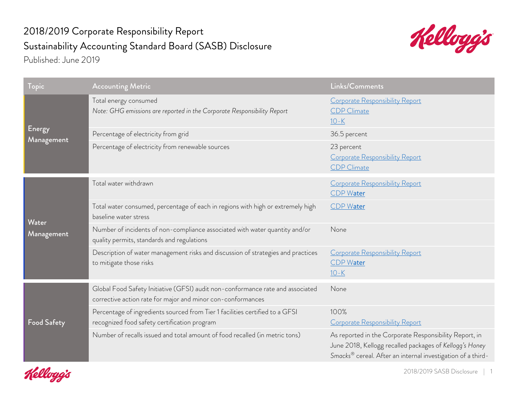## 2018/2019 Corporate Responsibility Report Sustainability Accounting Standard Board (SASB) Disclosure Published: June 2019



| Topic                | <b>Accounting Metric</b>                                                                                                                      | Links/Comments                                                                                                                                                                               |
|----------------------|-----------------------------------------------------------------------------------------------------------------------------------------------|----------------------------------------------------------------------------------------------------------------------------------------------------------------------------------------------|
| Energy<br>Management | Total energy consumed<br>Note: GHG emissions are reported in the Corporate Responsibility Report                                              | Corporate Responsibility Report<br><b>CDP</b> Climate<br>$10 - K$                                                                                                                            |
|                      | Percentage of electricity from grid                                                                                                           | 36.5 percent                                                                                                                                                                                 |
|                      | Percentage of electricity from renewable sources                                                                                              | 23 percent<br>Corporate Responsibility Report<br><b>CDP</b> Climate                                                                                                                          |
| Water<br>Management  | Total water withdrawn                                                                                                                         | Corporate Responsibility Report<br><b>CDP Water</b>                                                                                                                                          |
|                      | Total water consumed, percentage of each in regions with high or extremely high<br>baseline water stress                                      | CDP Water                                                                                                                                                                                    |
|                      | Number of incidents of non-compliance associated with water quantity and/or<br>quality permits, standards and regulations                     | None                                                                                                                                                                                         |
|                      | Description of water management risks and discussion of strategies and practices<br>to mitigate those risks                                   | Corporate Responsibility Report<br><b>CDP Water</b><br>$10 - K$                                                                                                                              |
| <b>Food Safety</b>   | Global Food Safety Initiative (GFSI) audit non-conformance rate and associated<br>corrective action rate for major and minor con-conformances | None                                                                                                                                                                                         |
|                      | Percentage of ingredients sourced from Tier 1 facilities certified to a GFSI<br>recognized food safety certification program                  | 100%<br>Corporate Responsibility Report                                                                                                                                                      |
|                      | Number of recalls issued and total amount of food recalled (in metric tons)                                                                   | As reported in the Corporate Responsibility Report, in<br>June 2018, Kellogg recalled packages of Kellogg's Honey<br>Smacks <sup>®</sup> cereal. After an internal investigation of a third- |

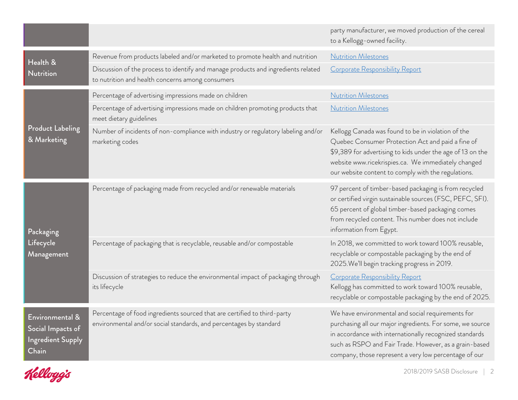|                                                                           |                                                                                                                                                | party manufacturer, we moved production of the cereal<br>to a Kellogg-owned facility.                                                                                                                                                                                                        |
|---------------------------------------------------------------------------|------------------------------------------------------------------------------------------------------------------------------------------------|----------------------------------------------------------------------------------------------------------------------------------------------------------------------------------------------------------------------------------------------------------------------------------------------|
| Health &<br><b>Nutrition</b>                                              | Revenue from products labeled and/or marketed to promote health and nutrition                                                                  | <b>Nutrition Milestones</b>                                                                                                                                                                                                                                                                  |
|                                                                           | Discussion of the process to identify and manage products and ingredients related<br>to nutrition and health concerns among consumers          | Corporate Responsibility Report                                                                                                                                                                                                                                                              |
| <b>Product Labeling</b><br>& Marketing                                    | Percentage of advertising impressions made on children                                                                                         | <b>Nutrition Milestones</b>                                                                                                                                                                                                                                                                  |
|                                                                           | Percentage of advertising impressions made on children promoting products that<br>meet dietary guidelines                                      | <b>Nutrition Milestones</b>                                                                                                                                                                                                                                                                  |
|                                                                           | Number of incidents of non-compliance with industry or regulatory labeling and/or<br>marketing codes                                           | Kellogg Canada was found to be in violation of the<br>Quebec Consumer Protection Act and paid a fine of<br>\$9,389 for advertising to kids under the age of 13 on the<br>website www.ricekrispies.ca. We immediately changed<br>our website content to comply with the regulations.          |
| Packaging<br>Lifecycle<br>Management                                      | Percentage of packaging made from recycled and/or renewable materials                                                                          | 97 percent of timber-based packaging is from recycled<br>or certified virgin sustainable sources (FSC, PEFC, SFI).<br>65 percent of global timber-based packaging comes<br>from recycled content. This number does not include<br>information from Egypt.                                    |
|                                                                           | Percentage of packaging that is recyclable, reusable and/or compostable                                                                        | In 2018, we committed to work toward 100% reusable,<br>recyclable or compostable packaging by the end of<br>2025. We'll begin tracking progress in 2019.                                                                                                                                     |
|                                                                           | Discussion of strategies to reduce the environmental impact of packaging through<br>its lifecycle                                              | Corporate Responsibility Report<br>Kellogg has committed to work toward 100% reusable,<br>recyclable or compostable packaging by the end of 2025.                                                                                                                                            |
| Environmental &<br>Social Impacts of<br><b>Ingredient Supply</b><br>Chain | Percentage of food ingredients sourced that are certified to third-party<br>environmental and/or social standards, and percentages by standard | We have environmental and social requirements for<br>purchasing all our major ingredients. For some, we source<br>in accordance with internationally recognized standards<br>such as RSPO and Fair Trade. However, as a grain-based<br>company, those represent a very low percentage of our |